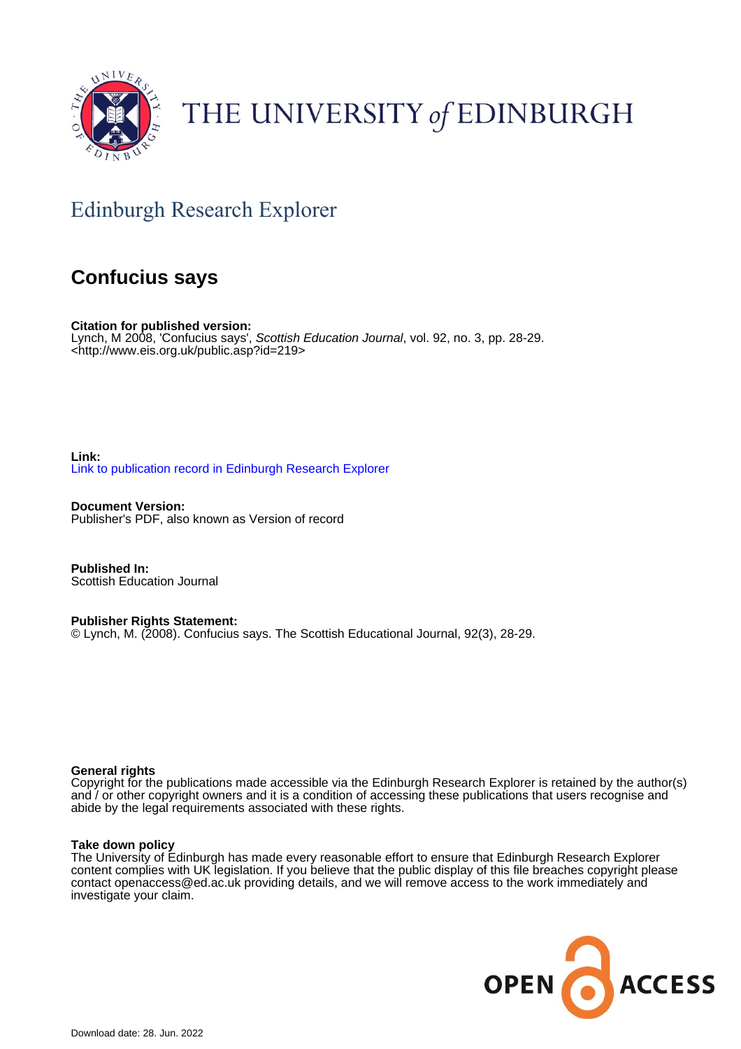

## THE UNIVERSITY of EDINBURGH

## Edinburgh Research Explorer

### **Confucius says**

**Citation for published version:** Lynch, M 2008, 'Confucius says', Scottish Education Journal, vol. 92, no. 3, pp. 28-29. <<http://www.eis.org.uk/public.asp?id=219>>

**Link:** [Link to publication record in Edinburgh Research Explorer](https://www.research.ed.ac.uk/en/publications/54c4f3d4-1e9e-447e-9e51-e7d38f40c7ec)

**Document Version:** Publisher's PDF, also known as Version of record

**Published In:** Scottish Education Journal

**Publisher Rights Statement:** © Lynch, M. (2008). Confucius says. The Scottish Educational Journal, 92(3), 28-29.

#### **General rights**

Copyright for the publications made accessible via the Edinburgh Research Explorer is retained by the author(s) and / or other copyright owners and it is a condition of accessing these publications that users recognise and abide by the legal requirements associated with these rights.

#### **Take down policy**

The University of Edinburgh has made every reasonable effort to ensure that Edinburgh Research Explorer content complies with UK legislation. If you believe that the public display of this file breaches copyright please contact openaccess@ed.ac.uk providing details, and we will remove access to the work immediately and investigate your claim.

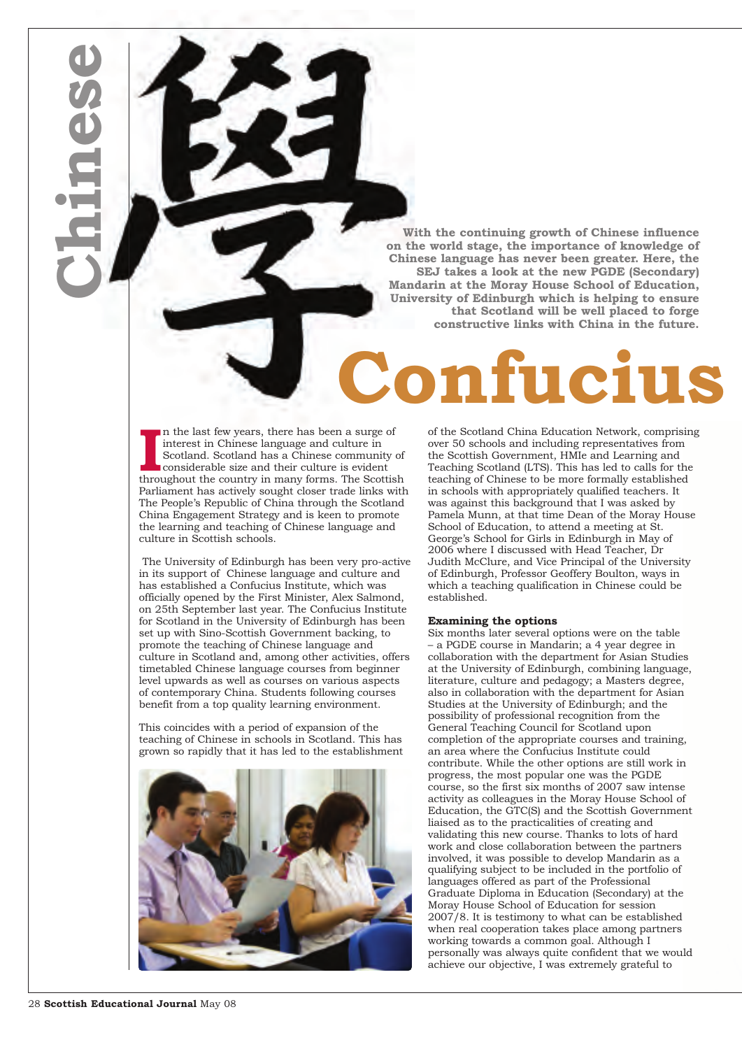**With the continuing growth of Chinese influence on the world stage, the importance of knowledge of Chinese language has never been greater. Here, the SEJ takes a look at the new PGDE (Secondary) Mandarin at the Moray House School of Education, University of Edinburgh which is helping to ensure that Scotland will be well placed to forge constructive links with China in the future.**

# **Confucius says...**

In the last few years, there has been a surge of interest in Chinese language and culture in Scotland. Scotland has a Chinese community of considerable size and their culture is evident throughout the country in many forms n the last few years, there has been a surge of interest in Chinese language and culture in Scotland. Scotland has a Chinese community of considerable size and their culture is evident Parliament has actively sought closer trade links with The People's Republic of China through the Scotland China Engagement Strategy and is keen to promote the learning and teaching of Chinese language and culture in Scottish schools.

The University of Edinburgh has been very pro-active in its support of Chinese language and culture and has established a Confucius Institute, which was officially opened by the First Minister, Alex Salmond, on 25th September last year. The Confucius Institute for Scotland in the University of Edinburgh has been set up with Sino-Scottish Government backing, to promote the teaching of Chinese language and culture in Scotland and, among other activities, offers timetabled Chinese language courses from beginner level upwards as well as courses on various aspects of contemporary China. Students following courses benefit from a top quality learning environment.

This coincides with a period of expansion of the teaching of Chinese in schools in Scotland. This has grown so rapidly that it has led to the establishment



of the Scotland China Education Network, comprising over 50 schools and including representatives from the Scottish Government, HMIe and Learning and Teaching Scotland (LTS). This has led to calls for the teaching of Chinese to be more formally established in schools with appropriately qualified teachers. It was against this background that I was asked by Pamela Munn, at that time Dean of the Moray House School of Education, to attend a meeting at St. George's School for Girls in Edinburgh in May of 2006 where I discussed with Head Teacher, Dr Judith McClure, and Vice Principal of the University of Edinburgh, Professor Geoffery Boulton, ways in which a teaching qualification in Chinese could be established.

#### **Examining the options**

Six months later several options were on the table – a PGDE course in Mandarin; a 4 year degree in collaboration with the department for Asian Studies at the University of Edinburgh, combining language, literature, culture and pedagogy; a Masters degree, also in collaboration with the department for Asian Studies at the University of Edinburgh; and the possibility of professional recognition from the General Teaching Council for Scotland upon completion of the appropriate courses and training, an area where the Confucius Institute could contribute. While the other options are still work in progress, the most popular one was the PGDE course, so the first six months of 2007 saw intense activity as colleagues in the Moray House School of Education, the GTC(S) and the Scottish Government liaised as to the practicalities of creating and validating this new course. Thanks to lots of hard work and close collaboration between the partners involved, it was possible to develop Mandarin as a qualifying subject to be included in the portfolio of languages offered as part of the Professional Graduate Diploma in Education (Secondary) at the Moray House School of Education for session 2007/8. It is testimony to what can be established when real cooperation takes place among partners working towards a common goal. Although I personally was always quite confident that we would achieve our objective, I was extremely grateful to

**C**

**h**

**i**

**n**

**e**

**s**

**e**